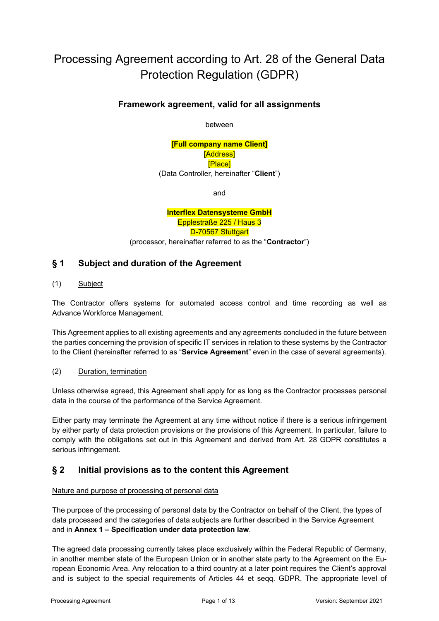# Processing Agreement according to Art. 28 of the General Data Protection Regulation (GDPR)

#### **Framework agreement, valid for all assignments**

between

#### **[Full company name Client]** [Address] [Place] (Data Controller, hereinafter "**Client**")

and

**Interflex Datensysteme GmbH** Epplestraße 225 / Haus 3 D-70567 Stuttgart (processor, hereinafter referred to as the "**Contractor**")

#### **§ 1 Subject and duration of the Agreement**

(1) Subject

The Contractor offers systems for automated access control and time recording as well as Advance Workforce Management.

This Agreement applies to all existing agreements and any agreements concluded in the future between the parties concerning the provision of specific IT services in relation to these systems by the Contractor to the Client (hereinafter referred to as "**Service Agreement**" even in the case of several agreements).

(2) Duration, termination

Unless otherwise agreed, this Agreement shall apply for as long as the Contractor processes personal data in the course of the performance of the Service Agreement.

Either party may terminate the Agreement at any time without notice if there is a serious [infringement](https://www.google.de/search?source=hp&ei=w62kXMzpOJGI1fAP8LWW8AU&q=google+translate&btnK=Recherche+Google&oq=google+translate&gs_l=psy-ab.3..0l10.2277.4586..4801...0.0..0.90.1043.16......0....1..gws-wiz.....0..0i10.glK_FPWjsns) by either party of data protection provisions or the provisions of this Agreement. In particular, failure to comply with the obligations set out in this Agreement and derived from Art. 28 GDPR constitutes a serious [infringement.](https://www.google.de/search?source=hp&ei=w62kXMzpOJGI1fAP8LWW8AU&q=google+translate&btnK=Recherche+Google&oq=google+translate&gs_l=psy-ab.3..0l10.2277.4586..4801...0.0..0.90.1043.16......0....1..gws-wiz.....0..0i10.glK_FPWjsns)

## **§ 2 Initial provisions as to the content this Agreement**

#### Nature and purpose of processing of personal data

The purpose of the processing of personal data by the Contractor on behalf of the Client, the types of data processed and the categories of data subjects are further described in the Service Agreement and in **Annex 1 – Specification under data protection law**.

The agreed data processing currently takes place exclusively within the Federal Republic of Germany, in another member state of the European Union or in another state party to the Agreement on the European Economic Area. Any relocation to a third country at a later point requires the Client's approval and is subject to the special requirements of Articles 44 et seqq. GDPR. The appropriate level of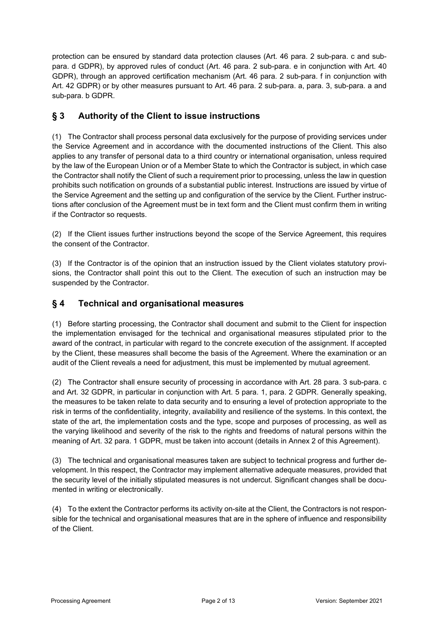protection can be ensured by standard data protection clauses (Art. 46 para. 2 sub-para. c and subpara. d GDPR), by approved rules of conduct (Art. 46 para. 2 sub-para. e in conjunction with Art. 40 GDPR), through an approved certification mechanism (Art. 46 para. 2 sub-para. f in conjunction with Art. 42 GDPR) or by other measures pursuant to Art. 46 para. 2 sub-para. a, para. 3, sub-para. a and sub-para. b GDPR.

## **§ 3 Authority of the Client to issue instructions**

(1) The Contractor shall process personal data exclusively for the purpose of providing services under the Service Agreement and in accordance with the documented instructions of the Client. This also applies to any transfer of personal data to a third country or international organisation, unless required by the law of the European Union or of a Member State to which the Contractor is subject, in which case the Contractor shall notify the Client of such a requirement prior to processing, unless the law in question prohibits such notification on grounds of a substantial public interest. Instructions are issued by virtue of the Service Agreement and the setting up and configuration of the service by the Client. Further instructions after conclusion of the Agreement must be in text form and the Client must confirm them in writing if the Contractor so requests.

(2) If the Client issues further instructions beyond the scope of the Service Agreement, this requires the consent of the Contractor.

(3) If the Contractor is of the opinion that an instruction issued by the Client violates statutory provisions, the Contractor shall point this out to the Client. The execution of such an instruction may be suspended by the Contractor.

## **§ 4 Technical and organisational measures**

(1) Before starting processing, the Contractor shall document and submit to the Client for inspection the implementation envisaged for the technical and organisational measures stipulated prior to the award of the contract, in particular with regard to the concrete execution of the assignment. If accepted by the Client, these measures shall become the basis of the Agreement. Where the examination or an audit of the Client reveals a need for adjustment, this must be implemented by mutual agreement.

(2) The Contractor shall ensure security of processing in accordance with Art. 28 para. 3 sub-para. c and Art. 32 GDPR, in particular in conjunction with Art. 5 para. 1, para. 2 GDPR. Generally speaking, the measures to be taken relate to data security and to ensuring a level of protection appropriate to the risk in terms of the confidentiality, integrity, availability and resilience of the systems. In this context, the state of the art, the implementation costs and the type, scope and purposes of processing, as well as the varying likelihood and severity of the risk to the rights and freedoms of natural persons within the meaning of Art. 32 para. 1 GDPR, must be taken into account (details in Annex 2 of this Agreement).

(3) The technical and organisational measures taken are subject to technical progress and further development. In this respect, the Contractor may implement alternative adequate measures, provided that the security level of the initially stipulated measures is not undercut. Significant changes shall be documented in writing or electronically.

(4) To the extent the Contractor performs its activity on-site at the Client, the Contractors is not responsible for the technical and organisational measures that are in the sphere of influence and responsibility of the Client.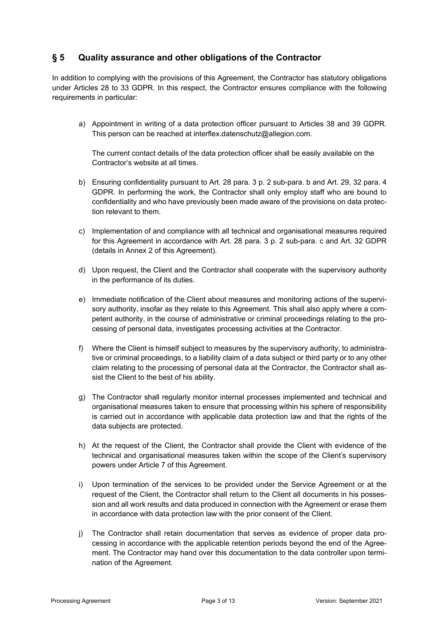## **§ 5 Quality assurance and other obligations of the Contractor**

In addition to complying with the provisions of this Agreement, the Contractor has statutory obligations under Articles 28 to 33 GDPR. In this respect, the Contractor ensures compliance with the following requirements in particular:

a) Appointment in writing of a data protection officer pursuant to Articles 38 and 39 GDPR. This person can be reached at interflex.datenschutz@allegion.com.

The current contact details of the data protection officer shall be easily available on the Contractor's website at all times.

- b) Ensuring confidentiality pursuant to Art. 28 para. 3 p. 2 sub-para. b and Art. 29, 32 para. 4 GDPR. In performing the work, the Contractor shall only employ staff who are bound to confidentiality and who have previously been made aware of the provisions on data protection relevant to them.
- c) Implementation of and compliance with all technical and organisational measures required for this Agreement in accordance with Art. 28 para. 3 p. 2 sub-para. c and Art. 32 GDPR (details in Annex 2 of this Agreement).
- d) Upon request, the Client and the Contractor shall cooperate with the supervisory authority in the performance of its duties.
- e) Immediate notification of the Client about measures and monitoring actions of the supervisory authority, insofar as they relate to this Agreement. This shall also apply where a competent authority, in the course of administrative or criminal proceedings relating to the processing of personal data, investigates processing activities at the Contractor.
- f) Where the Client is himself subject to measures by the supervisory authority, to administrative or criminal proceedings, to a liability claim of a data subject or third party or to any other claim relating to the processing of personal data at the Contractor, the Contractor shall assist the Client to the best of his ability.
- g) The Contractor shall regularly monitor internal processes implemented and technical and organisational measures taken to ensure that processing within his sphere of responsibility is carried out in accordance with applicable data protection law and that the rights of the data subjects are protected.
- h) At the request of the Client, the Contractor shall provide the Client with evidence of the technical and organisational measures taken within the scope of the Client's supervisory powers under Article 7 of this Agreement.
- i) Upon termination of the services to be provided under the Service Agreement or at the request of the Client, the Contractor shall return to the Client all documents in his possession and all work results and data produced in connection with the Agreement or erase them in accordance with data protection law with the prior consent of the Client.
- j) The Contractor shall retain documentation that serves as evidence of proper data processing in accordance with the applicable retention periods beyond the end of the Agreement. The Contractor may hand over this documentation to the data controller upon termination of the Agreement.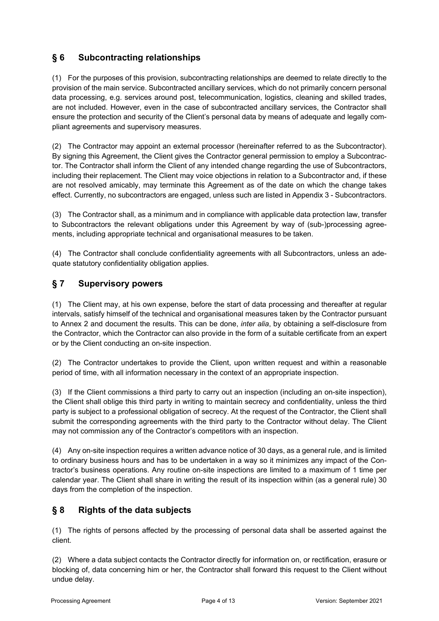# **§ 6 Subcontracting relationships**

(1) For the purposes of this provision, subcontracting relationships are deemed to relate directly to the provision of the main service. Subcontracted ancillary services, which do not primarily concern personal data processing, e.g. services around post, telecommunication, logistics, cleaning and skilled trades, are not included. However, even in the case of subcontracted ancillary services, the Contractor shall ensure the protection and security of the Client's personal data by means of adequate and legally compliant agreements and supervisory measures.

(2) The Contractor may appoint an external processor (hereinafter referred to as the Subcontractor). By signing this Agreement, the Client gives the Contractor general permission to employ a Subcontractor. The Contractor shall inform the Client of any intended change regarding the use of Subcontractors, including their replacement. The Client may voice objections in relation to a Subcontractor and, if these are not resolved amicably, may terminate this Agreement as of the date on which the change takes effect. Currently, no subcontractors are engaged, unless such are listed in Appendix 3 - Subcontractors.

(3) The Contractor shall, as a minimum and in compliance with applicable data protection law, transfer to Subcontractors the relevant obligations under this Agreement by way of (sub-)processing agreements, including appropriate technical and organisational measures to be taken.

(4) The Contractor shall conclude confidentiality agreements with all Subcontractors, unless an adequate statutory confidentiality obligation applies.

## **§ 7 Supervisory powers**

(1) The Client may, at his own expense, before the start of data processing and thereafter at regular intervals, satisfy himself of the technical and organisational measures taken by the Contractor pursuant to Annex 2 and document the results. This can be done, *inter alia*, by obtaining a self-disclosure from the Contractor, which the Contractor can also provide in the form of a suitable certificate from an expert or by the Client conducting an on-site inspection.

(2) The Contractor undertakes to provide the Client, upon written request and within a reasonable period of time, with all information necessary in the context of an appropriate inspection.

(3) If the Client commissions a third party to carry out an inspection (including an on-site inspection), the Client shall oblige this third party in writing to maintain secrecy and confidentiality, unless the third party is subject to a professional obligation of secrecy. At the request of the Contractor, the Client shall submit the corresponding agreements with the third party to the Contractor without delay. The Client may not commission any of the Contractor's competitors with an inspection.

(4) Any on-site inspection requires a written advance notice of 30 days, as a general rule, and is limited to ordinary business hours and has to be undertaken in a way so it minimizes any impact of the Contractor's business operations. Any routine on-site inspections are limited to a maximum of 1 time per calendar year. The Client shall share in writing the result of its inspection within (as a general rule) 30 days from the completion of the inspection.

## **§ 8 Rights of the data subjects**

(1) The rights of persons affected by the processing of personal data shall be asserted against the client.

(2) Where a data subject contacts the Contractor directly for information on, or rectification, erasure or blocking of, data concerning him or her, the Contractor shall forward this request to the Client without undue delay.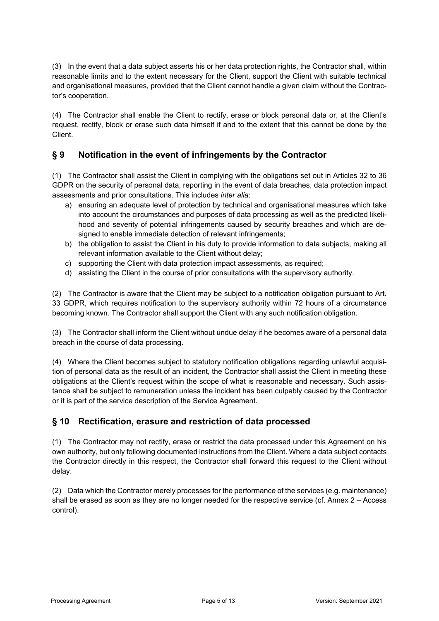(3) In the event that a data subject asserts his or her data protection rights, the Contractor shall, within reasonable limits and to the extent necessary for the Client, support the Client with suitable technical and organisational measures, provided that the Client cannot handle a given claim without the Contractor's cooperation.

(4) The Contractor shall enable the Client to rectify, erase or block personal data or, at the Client's request, rectify, block or erase such data himself if and to the extent that this cannot be done by the Client.

# **§ 9 Notification in the event of infringements by the Contractor**

(1) The Contractor shall assist the Client in complying with the obligations set out in Articles 32 to 36 GDPR on the security of personal data, reporting in the event of data breaches, data protection impact assessments and prior consultations. This includes *inter alia*:

- a) ensuring an adequate level of protection by technical and organisational measures which take into account the circumstances and purposes of data processing as well as the predicted likelihood and severity of potential infringements caused by security breaches and which are designed to enable immediate detection of relevant infringements;
- b) the obligation to assist the Client in his duty to provide information to data subjects, making all relevant information available to the Client without delay;
- c) supporting the Client with data protection impact assessments, as required;
- d) assisting the Client in the course of prior consultations with the supervisory authority.

(2) The Contractor is aware that the Client may be subject to a notification obligation pursuant to Art. 33 GDPR, which requires notification to the supervisory authority within 72 hours of a circumstance becoming known. The Contractor shall support the Client with any such notification obligation.

(3) The Contractor shall inform the Client without undue delay if he becomes aware of a personal data breach in the course of data processing.

(4) Where the Client becomes subject to statutory notification obligations regarding unlawful acquisition of personal data as the result of an incident, the Contractor shall assist the Client in meeting these obligations at the Client's request within the scope of what is reasonable and necessary. Such assistance shall be subject to remuneration unless the incident has been culpably caused by the Contractor or it is part of the service description of the Service Agreement.

## **§ 10 Rectification, erasure and restriction of data processed**

(1) The Contractor may not rectify, erase or restrict the data processed under this Agreement on his own authority, but only following documented instructions from the Client. Where a data subject contacts the Contractor directly in this respect, the Contractor shall forward this request to the Client without delay.

(2) Data which the Contractor merely processes for the performance of the services (e.g. maintenance) shall be erased as soon as they are no longer needed for the respective service (cf. Annex 2 – Access control).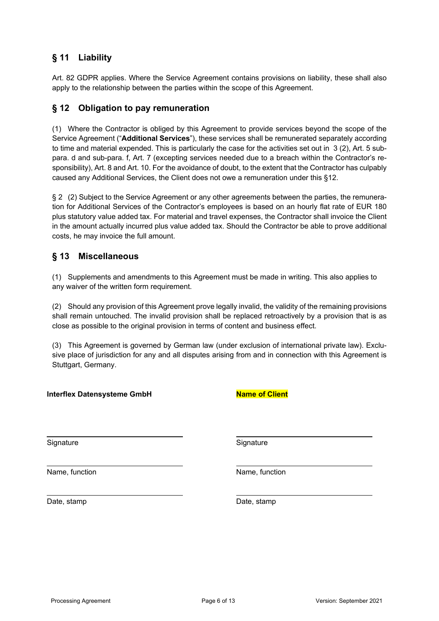## **§ 11 Liability**

Art. 82 GDPR applies. Where the Service Agreement contains provisions on liability, these shall also apply to the relationship between the parties within the scope of this Agreement.

#### **§ 12 Obligation to pay remuneration**

(1) Where the Contractor is obliged by this Agreement to provide services beyond the scope of the Service Agreement ("**Additional Services**"), these services shall be remunerated separately according to time and material expended. This is particularly the case for the activities set out in 3 (2), Art. 5 subpara. d and sub-para. f, Art. 7 (excepting services needed due to a breach within the Contractor's responsibility), Art. 8 and Art. 10. For the avoidance of doubt, to the extent that the Contractor has culpably caused any Additional Services, the Client does not owe a remuneration under this §12.

§ 2 (2) Subject to the Service Agreement or any other agreements between the parties, the remuneration for Additional Services of the Contractor's employees is based on an hourly flat rate of EUR 180 plus statutory value added tax. For material and travel expenses, the Contractor shall invoice the Client in the amount actually incurred plus value added tax. Should the Contractor be able to prove additional costs, he may invoice the full amount.

#### **§ 13 Miscellaneous**

(1) Supplements and amendments to this Agreement must be made in writing. This also applies to any waiver of the written form requirement.

(2) Should any provision of this Agreement prove legally invalid, the validity of the remaining provisions shall remain untouched. The invalid provision shall be replaced retroactively by a provision that is as close as possible to the original provision in terms of content and business effect.

(3) This Agreement is governed by German law (under exclusion of international private law). Exclusive place of jurisdiction for any and all disputes arising from and in connection with this Agreement is Stuttgart, Germany.

| <b>Interflex Datensysteme GmbH</b> | <b>Name of Client</b> |
|------------------------------------|-----------------------|
| Signature                          | Signature             |
| Name, function                     | Name, function        |
| Date, stamp                        | Date, stamp           |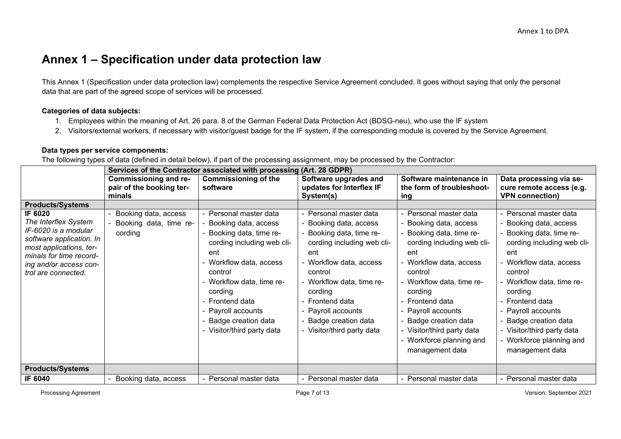# **Annex 1 – Specification under data protection law**

This Annex 1 (Specification under data protection law) complements the respective Service Agreement concluded. It goes without saying that only the personal data that are part of the agreed scope of services will be processed.

#### **Categories of data subjects:**

- 1. Employees within the meaning of Art. 26 para. 8 of the German Federal Data Protection Act (BDSG-neu), who use the IF system
- 2. Visitors/external workers, if necessary with visitor/guest badge for the IF system, if the corresponding module is covered by the Service Agreement.

#### **Data types per service components:**

The following types of data (defined in detail below), if part of the processing assignment, may be processed by the Contractor:

|                                                                                                                                                                                            | Services of the Contractor associated with processing (Art. 28 GDPR) |                                                                                                                                                                                                                                                                                               |                                                                                                                                                                                                                                                                                            |                                                                                                                                                                                                                                                                                                                                              |                                                                                                                                                                                                                                                                                                                                              |
|--------------------------------------------------------------------------------------------------------------------------------------------------------------------------------------------|----------------------------------------------------------------------|-----------------------------------------------------------------------------------------------------------------------------------------------------------------------------------------------------------------------------------------------------------------------------------------------|--------------------------------------------------------------------------------------------------------------------------------------------------------------------------------------------------------------------------------------------------------------------------------------------|----------------------------------------------------------------------------------------------------------------------------------------------------------------------------------------------------------------------------------------------------------------------------------------------------------------------------------------------|----------------------------------------------------------------------------------------------------------------------------------------------------------------------------------------------------------------------------------------------------------------------------------------------------------------------------------------------|
|                                                                                                                                                                                            | <b>Commissioning and re-</b><br>pair of the booking ter-<br>minals   | <b>Commissioning of the</b><br>software                                                                                                                                                                                                                                                       | Software upgrades and<br>updates for Interflex IF<br>System(s)                                                                                                                                                                                                                             | Software maintenance in<br>the form of troubleshoot-                                                                                                                                                                                                                                                                                         | Data processing via se-<br>cure remote access (e.g.<br><b>VPN connection)</b>                                                                                                                                                                                                                                                                |
| <b>Products/Systems</b>                                                                                                                                                                    |                                                                      |                                                                                                                                                                                                                                                                                               |                                                                                                                                                                                                                                                                                            | ing                                                                                                                                                                                                                                                                                                                                          |                                                                                                                                                                                                                                                                                                                                              |
| IF 6020<br>The Interflex System<br>IF-6020 is a modular<br>software application. In<br>most applications, ter-<br>minals for time record-<br>ing and/or access con-<br>trol are connected. | Booking data, access<br>Booking data, time re-<br>cording            | - Personal master data<br>Booking data, access<br>- Booking data, time re-<br>cording including web cli-<br>ent<br>- Workflow data, access<br>control<br>- Workflow data, time re-<br>cording<br>- Frontend data<br>- Payroll accounts<br>- Badge creation data<br>- Visitor/third party data | Personal master data<br>Booking data, access<br>Booking data, time re-<br>cording including web cli-<br>ent<br>- Workflow data, access<br>control<br>- Workflow data, time re-<br>cording<br><b>Frontend data</b><br>Payroll accounts<br>Badge creation data<br>- Visitor/third party data | - Personal master data<br>Booking data, access<br>- Booking data, time re-<br>cording including web cli-<br>ent<br>- Workflow data, access<br>control<br>- Workflow data, time re-<br>cording<br>- Frontend data<br>- Payroll accounts<br>- Badge creation data<br>- Visitor/third party data<br>- Workforce planning and<br>management data | - Personal master data<br>Booking data, access<br>- Booking data, time re-<br>cording including web cli-<br>ent<br>- Workflow data, access<br>control<br>- Workflow data, time re-<br>cording<br>- Frontend data<br>- Payroll accounts<br>- Badge creation data<br>- Visitor/third party data<br>- Workforce planning and<br>management data |
| <b>Products/Systems</b>                                                                                                                                                                    |                                                                      |                                                                                                                                                                                                                                                                                               |                                                                                                                                                                                                                                                                                            |                                                                                                                                                                                                                                                                                                                                              |                                                                                                                                                                                                                                                                                                                                              |
| IF 6040                                                                                                                                                                                    | Booking data, access                                                 | - Personal master data                                                                                                                                                                                                                                                                        | Personal master data                                                                                                                                                                                                                                                                       | - Personal master data                                                                                                                                                                                                                                                                                                                       | - Personal master data                                                                                                                                                                                                                                                                                                                       |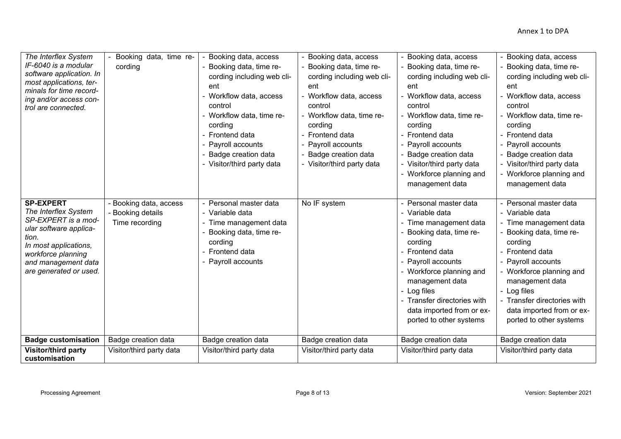| The Interflex System<br>IF-6040 is a modular<br>software application. In<br>most applications, ter-<br>minals for time record-<br>ing and/or access con-<br>trol are connected.                    | Booking data, time re-<br>cording                             | Booking data, access<br>Booking data, time re-<br>cording including web cli-<br>ent<br>Workflow data, access<br>control<br>Workflow data, time re-<br>cording<br>Frontend data<br>Payroll accounts<br>Badge creation data<br>- Visitor/third party data | - Booking data, access<br>Booking data, time re-<br>cording including web cli-<br>ent<br>- Workflow data, access<br>control<br>- Workflow data, time re-<br>cording<br>Frontend data<br>Payroll accounts<br>Badge creation data<br>- Visitor/third party data | Booking data, access<br>Booking data, time re-<br>cording including web cli-<br>ent<br>Workflow data, access<br>control<br>- Workflow data, time re-<br>cording<br>Frontend data<br>Payroll accounts<br>Badge creation data<br>- Visitor/third party data<br>Workforce planning and<br>management data   | - Booking data, access<br>- Booking data, time re-<br>cording including web cli-<br>ent<br>- Workflow data, access<br>control<br>- Workflow data, time re-<br>cording<br>- Frontend data<br>- Payroll accounts<br>- Badge creation data<br>- Visitor/third party data<br>- Workforce planning and<br>management data |
|----------------------------------------------------------------------------------------------------------------------------------------------------------------------------------------------------|---------------------------------------------------------------|---------------------------------------------------------------------------------------------------------------------------------------------------------------------------------------------------------------------------------------------------------|---------------------------------------------------------------------------------------------------------------------------------------------------------------------------------------------------------------------------------------------------------------|----------------------------------------------------------------------------------------------------------------------------------------------------------------------------------------------------------------------------------------------------------------------------------------------------------|----------------------------------------------------------------------------------------------------------------------------------------------------------------------------------------------------------------------------------------------------------------------------------------------------------------------|
| <b>SP-EXPERT</b><br>The Interflex System<br>SP-EXPERT is a mod-<br>ular software applica-<br>tion.<br>In most applications,<br>workforce planning<br>and management data<br>are generated or used. | - Booking data, access<br>- Booking details<br>Time recording | Personal master data<br>- Variable data<br>- Time management data<br>Booking data, time re-<br>cording<br>Frontend data<br>Payroll accounts                                                                                                             | No IF system                                                                                                                                                                                                                                                  | Personal master data<br>$\sim$<br>Variable data<br>Time management data<br>Booking data, time re-<br>cording<br>- Frontend data<br>Payroll accounts<br>- Workforce planning and<br>management data<br>- Log files<br>- Transfer directories with<br>data imported from or ex-<br>ported to other systems | - Personal master data<br>- Variable data<br>- Time management data<br>- Booking data, time re-<br>cording<br>- Frontend data<br>- Payroll accounts<br>- Workforce planning and<br>management data<br>- Log files<br>- Transfer directories with<br>data imported from or ex-<br>ported to other systems             |
| <b>Badge customisation</b>                                                                                                                                                                         | Badge creation data                                           | Badge creation data                                                                                                                                                                                                                                     | Badge creation data                                                                                                                                                                                                                                           | Badge creation data                                                                                                                                                                                                                                                                                      | Badge creation data                                                                                                                                                                                                                                                                                                  |
| <b>Visitor/third party</b><br>customisation                                                                                                                                                        | Visitor/third party data                                      | Visitor/third party data                                                                                                                                                                                                                                | Visitor/third party data                                                                                                                                                                                                                                      | Visitor/third party data                                                                                                                                                                                                                                                                                 | Visitor/third party data                                                                                                                                                                                                                                                                                             |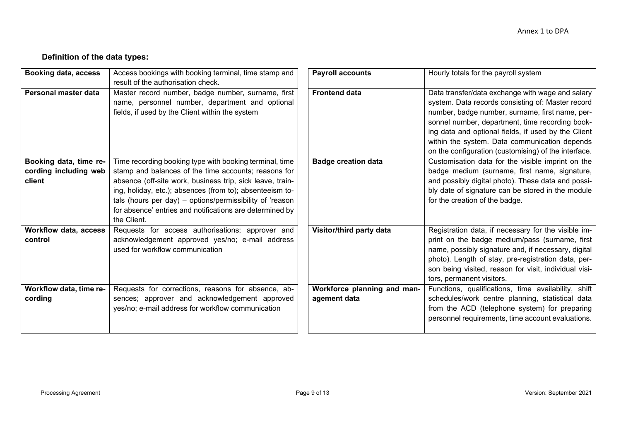# **Definition of the data types:**

| <b>Booking data, access</b>                               | Access bookings with booking terminal, time stamp and<br>result of the authorisation check.                                                                                                                                                                                                                                                                                     | <b>Payroll accounts</b>                     | Hourly totals for the payroll system                                                                                                                                                                                                                                                                                                                                        |
|-----------------------------------------------------------|---------------------------------------------------------------------------------------------------------------------------------------------------------------------------------------------------------------------------------------------------------------------------------------------------------------------------------------------------------------------------------|---------------------------------------------|-----------------------------------------------------------------------------------------------------------------------------------------------------------------------------------------------------------------------------------------------------------------------------------------------------------------------------------------------------------------------------|
| Personal master data                                      | Master record number, badge number, surname, first<br>name, personnel number, department and optional<br>fields, if used by the Client within the system                                                                                                                                                                                                                        | <b>Frontend data</b>                        | Data transfer/data exchange with wage and salary<br>system. Data records consisting of: Master record<br>number, badge number, surname, first name, per-<br>sonnel number, department, time recording book-<br>ing data and optional fields, if used by the Client<br>within the system. Data communication depends<br>on the configuration (customising) of the interface. |
| Booking data, time re-<br>cording including web<br>client | Time recording booking type with booking terminal, time<br>stamp and balances of the time accounts; reasons for<br>absence (off-site work, business trip, sick leave, train-<br>ing, holiday, etc.); absences (from to); absenteeism to-<br>tals (hours per day) – options/permissibility of 'reason<br>for absence' entries and notifications are determined by<br>the Client. | <b>Badge creation data</b>                  | Customisation data for the visible imprint on the<br>badge medium (surname, first name, signature,<br>and possibly digital photo). These data and possi-<br>bly date of signature can be stored in the module<br>for the creation of the badge.                                                                                                                             |
| Workflow data, access<br>control                          | Requests for access authorisations; approver and<br>acknowledgement approved yes/no; e-mail address<br>used for workflow communication                                                                                                                                                                                                                                          | Visitor/third party data                    | Registration data, if necessary for the visible im-<br>print on the badge medium/pass (surname, first<br>name, possibly signature and, if necessary, digital<br>photo). Length of stay, pre-registration data, per-<br>son being visited, reason for visit, individual visi-<br>tors, permanent visitors.                                                                   |
| Workflow data, time re-<br>cording                        | Requests for corrections, reasons for absence, ab-<br>sences; approver and acknowledgement approved<br>yes/no; e-mail address for workflow communication                                                                                                                                                                                                                        | Workforce planning and man-<br>agement data | Functions, qualifications, time availability, shift<br>schedules/work centre planning, statistical data<br>from the ACD (telephone system) for preparing<br>personnel requirements, time account evaluations.                                                                                                                                                               |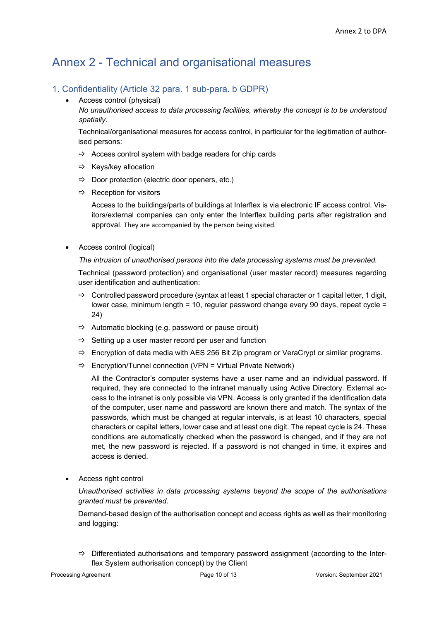# Annex 2 - Technical and organisational measures

#### 1. Confidentiality (Article 32 para. 1 sub-para. b GDPR)

• Access control (physical)

*No unauthorised access to data processing facilities, whereby the concept is to be understood spatially.*

Technical/organisational measures for access control, in particular for the legitimation of authorised persons:

- $\Rightarrow$  Access control system with badge readers for chip cards
- $\Rightarrow$  Keys/key allocation
- $\Rightarrow$  Door protection (electric door openers, etc.)
- $\Rightarrow$  Reception for visitors

Access to the buildings/parts of buildings at Interflex is via electronic IF access control. Visitors/external companies can only enter the Interflex building parts after registration and approval. They are accompanied by the person being visited.

• Access control (logical)

#### *The intrusion of unauthorised persons into the data processing systems must be prevented.*

Technical (password protection) and organisational (user master record) measures regarding user identification and authentication:

- $\Rightarrow$  Controlled password procedure (syntax at least 1 special character or 1 capital letter, 1 digit, lower case, minimum length = 10, regular password change every 90 days, repeat cycle = 24)
- $\Rightarrow$  Automatic blocking (e.g. password or pause circuit)
- $\Rightarrow$  Setting up a user master record per user and function
- $\Rightarrow$  Encryption of data media with AES 256 Bit Zip program or VeraCrypt or similar programs.
- $\Rightarrow$  Encryption/Tunnel connection (VPN = Virtual Private Network)

All the Contractor's computer systems have a user name and an individual password. If required, they are connected to the intranet manually using Active Directory. External access to the intranet is only possible via VPN. Access is only granted if the identification data of the computer, user name and password are known there and match. The syntax of the passwords, which must be changed at regular intervals, is at least 10 characters, special characters or capital letters, lower case and at least one digit. The repeat cycle is 24. These conditions are automatically checked when the password is changed, and if they are not met, the new password is rejected. If a password is not changed in time, it expires and access is denied.

• Access right control

*Unauthorised activities in data processing systems beyond the scope of the authorisations granted must be prevented.*

Demand-based design of the authorisation concept and access rights as well as their monitoring and logging:

 $\Rightarrow$  Differentiated authorisations and temporary password assignment (according to the Interflex System authorisation concept) by the Client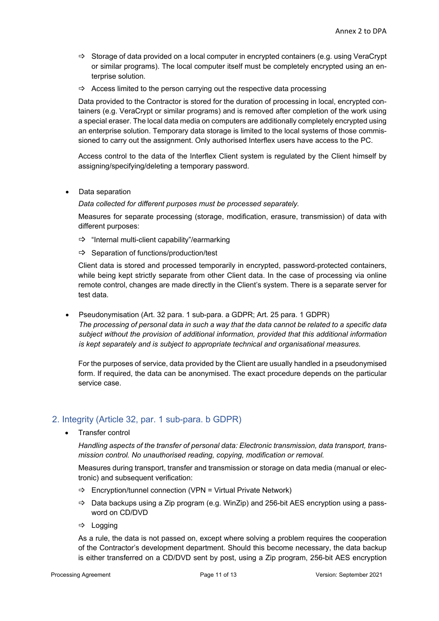- $\Rightarrow$  Storage of data provided on a local computer in encrypted containers (e.g. using VeraCrypt or similar programs). The local computer itself must be completely encrypted using an enterprise solution.
- $\Rightarrow$  Access limited to the person carrying out the respective data processing

Data provided to the Contractor is stored for the duration of processing in local, encrypted containers (e.g. VeraCrypt or similar programs) and is removed after completion of the work using a special eraser. The local data media on computers are additionally completely encrypted using an enterprise solution. Temporary data storage is limited to the local systems of those commissioned to carry out the assignment. Only authorised Interflex users have access to the PC.

Access control to the data of the Interflex Client system is regulated by the Client himself by assigning/specifying/deleting a temporary password.

• Data separation

*Data collected for different purposes must be processed separately.*

Measures for separate processing (storage, modification, erasure, transmission) of data with different purposes:

- $\Rightarrow$  "Internal multi-client capability"/earmarking
- $\Rightarrow$  Separation of functions/production/test

Client data is stored and processed temporarily in encrypted, password-protected containers, while being kept strictly separate from other Client data. In the case of processing via online remote control, changes are made directly in the Client's system. There is a separate server for test data.

• Pseudonymisation (Art. 32 para. 1 sub-para. a GDPR; Art. 25 para. 1 GDPR) *The processing of personal data in such a way that the data cannot be related to a specific data subject without the provision of additional information, provided that this additional information is kept separately and is subject to appropriate technical and organisational measures.*

For the purposes of service, data provided by the Client are usually handled in a pseudonymised form. If required, the data can be anonymised. The exact procedure depends on the particular service case.

## 2. Integrity (Article 32, par. 1 sub-para. b GDPR)

• Transfer control

*Handling aspects of the transfer of personal data: Electronic transmission, data transport, transmission control. No unauthorised reading, copying, modification or removal.*

Measures during transport, transfer and transmission or storage on data media (manual or electronic) and subsequent verification:

- $\Rightarrow$  Encryption/tunnel connection (VPN = Virtual Private Network)
- $\Rightarrow$  Data backups using a Zip program (e.g. WinZip) and 256-bit AES encryption using a password on CD/DVD
- $\Rightarrow$  Logging

As a rule, the data is not passed on, except where solving a problem requires the cooperation of the Contractor's development department. Should this become necessary, the data backup is either transferred on a CD/DVD sent by post, using a Zip program, 256-bit AES encryption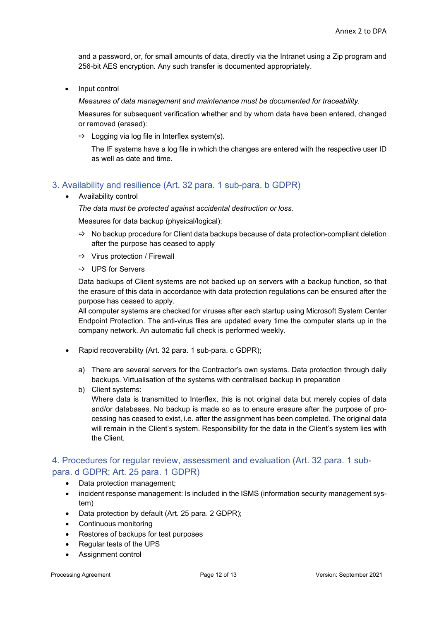and a password, or, for small amounts of data, directly via the Intranet using a Zip program and 256-bit AES encryption. Any such transfer is documented appropriately.

• Input control

*Measures of data management and maintenance must be documented for traceability.*

Measures for subsequent verification whether and by whom data have been entered, changed or removed (erased):

 $\Rightarrow$  Logging via log file in Interflex system(s).

The IF systems have a log file in which the changes are entered with the respective user ID as well as date and time.

## 3. Availability and resilience (Art. 32 para. 1 sub-para. b GDPR)

• Availability control

*The data must be protected against accidental destruction or loss.* 

Measures for data backup (physical/logical):

- $\Rightarrow$  No backup procedure for Client data backups because of data protection-compliant deletion after the purpose has ceased to apply
- $\Rightarrow$  Virus protection / Firewall
- UPS for Servers

Data backups of Client systems are not backed up on servers with a backup function, so that the erasure of this data in accordance with data protection regulations can be ensured after the purpose has ceased to apply.

All computer systems are checked for viruses after each startup using Microsoft System Center Endpoint Protection. The anti-virus files are updated every time the computer starts up in the company network. An automatic full check is performed weekly.

- Rapid recoverability (Art. 32 para. 1 sub-para. c GDPR);
	- a) There are several servers for the Contractor's own systems. Data protection through daily backups. Virtualisation of the systems with centralised backup in preparation
	- b) Client systems:

Where data is transmitted to Interflex, this is not original data but merely copies of data and/or databases. No backup is made so as to ensure erasure after the purpose of processing has ceased to exist, i.e. after the assignment has been completed. The original data will remain in the Client's system. Responsibility for the data in the Client's system lies with the Client.

#### 4. Procedures for regular review, assessment and evaluation (Art. 32 para. 1 subpara. d GDPR; Art. 25 para. 1 GDPR)

- Data protection management;
- incident response management: Is included in the ISMS (information security management system)
- Data protection by default (Art. 25 para. 2 GDPR);
- Continuous monitoring
- Restores of backups for test purposes
- Regular tests of the UPS
- Assignment control